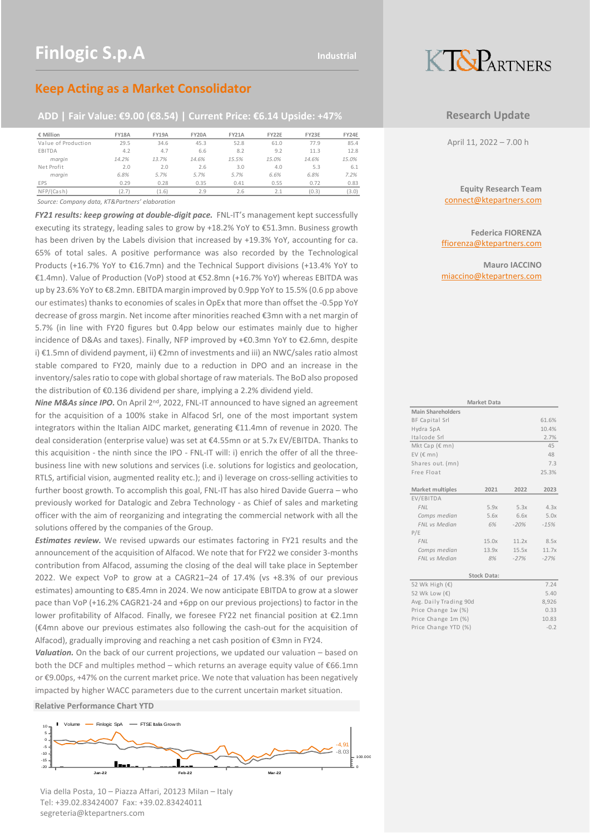# **KT&PARTNERS**

### **Keep Acting as a Market Consolidator**

### **ADD | Fair Value: €9.00 (€8.54) | Current Price: €6.14 Upside: +47%**

| € Million           | <b>FY18A</b> | <b>FY19A</b> | <b>FY20A</b> | <b>FY21A</b> | FY22E | FY23E | FY24E |
|---------------------|--------------|--------------|--------------|--------------|-------|-------|-------|
| Value of Production | 29.5         | 34.6         | 45.3         | 52.8         | 61.0  | 77.9  | 85.4  |
| <b>EBITDA</b>       | 4.2          | 4.7          | 6.6          | 8.2          | 9.2   | 11.3  | 12.8  |
| marain              | 14.2%        | 13.7%        | 14.6%        | 15.5%        | 15.0% | 14.6% | 15.0% |
| Net Profit          | 2.0          | 2.0          | 2.6          | 3.0          | 4.0   | 5.3   | 6.1   |
| marain              | 6.8%         | 5.7%         | 5.7%         | 5.7%         | 6.6%  | 6.8%  | 7.2%  |
| <b>EPS</b>          | 0.29         | 0.28         | 0.35         | 0.41         | 0.55  | 0.72  | 0.83  |
| NFP/(Cash)          | 2.7          | 1.6)         | 2.9          | 2.6          |       | (0.3) | (3.0) |

*Source: Company data, KT&Partners' elaboration*

*FY21 results: keep growing at double-digit pace.* FNL-IT's management kept successfully executing its strategy, leading sales to grow by +18.2% YoY to €51.3mn. Business growth has been driven by the Labels division that increased by +19.3% YoY, accounting for ca. 65% of total sales. A positive performance was also recorded by the Technological Products (+16.7% YoY to €16.7mn) and the Technical Support divisions (+13.4% YoY to €1.4mn). Value of Production (VoP) stood at €52.8mn (+16.7% YoY) whereas EBITDA was up by 23.6% YoY to €8.2mn. EBITDA margin improved by 0.9pp YoY to 15.5% (0.6 pp above our estimates) thanks to economies of scales in OpEx that more than offset the -0.5pp YoY decrease of gross margin. Net income after minorities reached €3mn with a net margin of 5.7% (in line with FY20 figures but 0.4pp below our estimates mainly due to higher incidence of D&As and taxes). Finally, NFP improved by +€0.3mn YoY to €2.6mn, despite i) €1.5mn of dividend payment, ii) €2mn of investments and iii) an NWC/sales ratio almost stable compared to FY20, mainly due to a reduction in DPO and an increase in the inventory/sales ratio to cope with global shortage of raw materials. The BoD also proposed the distribution of €0.136 dividend per share, implying a 2.2% dividend yield. EXAMENDAD THE TERM IN THE TERM IS THE TERM IS THE TERM IS THE TERM IS THE TERM IS THE TERM IS THE TERM IS THE TERM IS THE TERM IS THE TERM IS THE TERM IS THE TERM IS THE TERM IS THE TERM IS THE TERM IS THE TERM IS THE TERM

*Nine M&As since IPO.* On April 2<sup>nd</sup>, 2022, FNL-IT announced to have signed an agreement for the acquisition of a 100% stake in Alfacod Srl, one of the most important system integrators within the Italian AIDC market, generating €11.4mn of revenue in 2020. The deal consideration (enterprise value) was set at €4.55mn or at 5.7x EV/EBITDA. Thanks to this acquisition - the ninth since the IPO - FNL-IT will: i) enrich the offer of all the threebusiness line with new solutions and services (i.e. solutions for logistics and geolocation, RTLS, artificial vision, augmented reality etc.); and i) leverage on cross-selling activities to further boost growth. To accomplish this goal, FNL-IT has also hired Davide Guerra – who previously worked for Datalogic and Zebra Technology - as Chief of sales and marketing officer with the aim of reorganizing and integrating the commercial network with all the solutions offered by the companies of the Group.

*Estimates review.* We revised upwards our estimates factoring in FY21 results and the announcement of the acquisition of Alfacod. We note that for FY22 we consider 3-months contribution from Alfacod, assuming the closing of the deal will take place in September 2022. We expect VoP to grow at a CAGR21–24 of 17.4% (vs +8.3% of our previous estimates) amounting to €85.4mn in 2024. We now anticipate EBITDA to grow at a slower pace than VoP (+16.2% CAGR21-24 and +6pp on our previous projections) to factor in the lower profitability of Alfacod. Finally, we foresee FY22 net financial position at €2.1mn (€4mn above our previous estimates also following the cash-out for the acquisition of Alfacod), gradually improving and reaching a net cash position of €3mn in FY24.

*Valuation.* On the back of our current projections, we updated our valuation – based on both the DCF and multiples method – which returns an average equity value of €66.1mn or €9.00ps, +47% on the current market price. We note that valuation has been negatively impacted by higher WACC parameters due to the current uncertain market situation.

#### **Relative Performance Chart YTD**



Via della Posta, 10 – Piazza Affari, 20123 Milan – Italy Tel: +39.02.83424007 Fax: +39.02.83424011 segreteria@ktepartners.com

### **Research Update**

April 11, 2022 – 7.00 h

**Equity Research Team** connect@ktepartners.com

**Federica FIORENZA** ffiorenza@ktepartners.com

**Mauro IACCINO** miaccino@ktepartners.com

|                          | <b>Market Data</b> |        |        |
|--------------------------|--------------------|--------|--------|
| <b>Main Shareholders</b> |                    |        |        |
| BF Capital Srl           |                    |        | 61.6%  |
| Hydra SpA                |                    |        | 10.4%  |
| Italcode Srl             |                    |        | 2.7%   |
| Mkt Cap (€ mn)           |                    |        | 45     |
| EV ( $\epsilon$ mn)      |                    |        | 48     |
| Shares out. (mn)         |                    |        | 7.3    |
| Free Float               |                    |        | 25.3%  |
|                          |                    |        |        |
| Market multiples         | 2021               | 2022   | 2023   |
| EV/EBITDA                |                    |        |        |
| <b>FNL</b>               | 5.9x               | 5.3x   | 4.3x   |
| Comps median             | 5.6x               | 6.6x   | 5.0x   |
| <b>FNL vs Median</b>     | 6%                 | $-20%$ | $-15%$ |
| P/E                      |                    |        |        |
| <b>FNL</b>               | 15.0x              | 11.2x  | 8.5x   |
| Comps median             | 13.9x              | 15.5x  | 11.7x  |
| FNL vs Median            | 8%                 | $-27%$ | $-27%$ |
|                          |                    |        |        |
|                          | <b>Stock Data:</b> |        |        |
| 52 Wk High (€)           |                    |        | 7.24   |
| 52 Wk Low (€)            |                    |        | 5.40   |
| Avg. Daily Trading 90d   |                    |        | 8,926  |
| Price Change 1w (%)      |                    |        | 0.33   |
| Price Change 1m (%)      |                    |        | 10.83  |
| Price Change YTD (%)     |                    |        | $-0.2$ |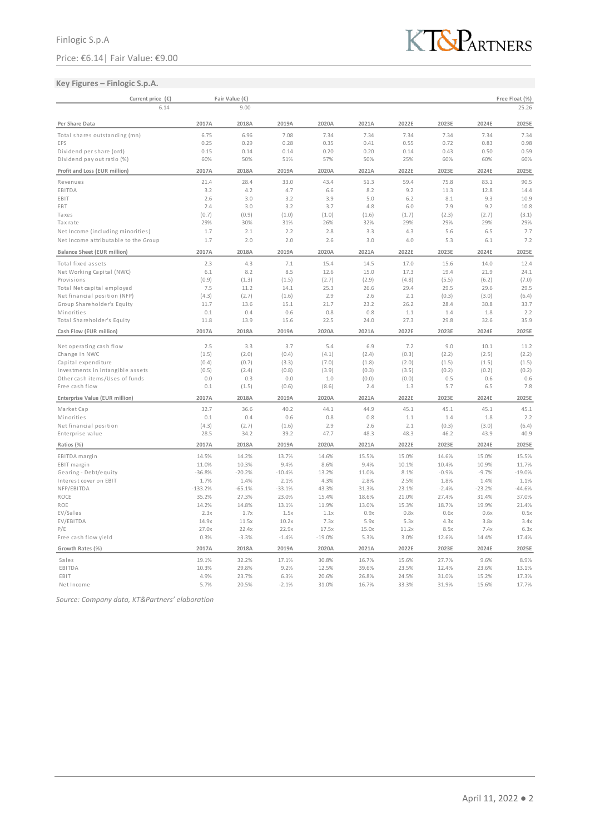## **Key Figures – Finlogic S.p.A.**



| Current price (€)                    |             | Fair Value (€) |             |             |             |             |              |              | Free Float (%) |
|--------------------------------------|-------------|----------------|-------------|-------------|-------------|-------------|--------------|--------------|----------------|
| 6.14                                 |             | 9.00           |             |             |             |             |              |              | 25.26          |
| Per Share Data                       | 2017A       | 2018A          | 2019A       | 2020A       | 2021A       | 2022E       | 2023E        | 2024E        | 2025E          |
| Total shares outstanding (mn)        | 6.75        | 6.96           | 7.08        | 7.34        | 7.34        | 7.34        | 7.34         | 7.34         | 7.34           |
| EPS                                  | 0.25        | 0.29           | 0.28        | 0.35        | 0.41        | 0.55        | 0.72         | 0.83         | 0.98           |
| Dividend per share (ord)             | 0.15        | 0.14           | 0.14        | 0.20        | 0.20        | 0.14        | 0.43         | 0.50         | 0.59           |
| Dividend pay out ratio (%)           | 60%         | 50%            | 51%         | 57%         | 50%         | 25%         | 60%          | 60%          | 60%            |
| Profit and Loss (EUR million)        | 2017A       | 2018A          | 2019A       | 2020A       | 2021A       | 2022E       | 2023E        | 2024E        | 2025E          |
|                                      |             |                |             |             |             |             |              |              |                |
| Revenues<br>EBITDA                   | 21.4<br>3.2 | 28.4<br>4.2    | 33.0<br>4.7 | 43.4<br>6.6 | 51.3<br>8.2 | 59.4<br>9.2 | 75.8<br>11.3 | 83.1<br>12.8 | 90.5<br>14.4   |
| EBIT                                 | 2.6         | 3.0            | 3.2         | 3.9         | 5.0         | 6.2         | 8.1          | 9.3          | 10.9           |
| EBT                                  | 2.4         | 3.0            | 3.2         | 3.7         | 4.8         | 6.0         | 7.9          | 9.2          | 10.8           |
| Taxes                                | (0.7)       | (0.9)          | (1.0)       | (1.0)       | (1.6)       | (1.7)       | (2.3)        | (2.7)        | (3.1)          |
| Tax rate                             | 29%         | 30%            | 31%         | 26%         | 32%         | 29%         | 29%          | 29%          | 29%            |
| Net Income (including minorities)    | 1.7         | 2.1            | 2.2         | 2.8         | 3.3         | 4.3         | 5.6          | 6.5          | 7.7            |
| Net Income attributable to the Group | 1.7         | 2.0            | 2.0         | 2.6         | 3.0         | 4.0         | 5.3          | 6.1          | 7.2            |
|                                      |             |                |             |             |             |             |              |              |                |
| <b>Balance Sheet (EUR million)</b>   | 2017A       | 2018A          | 2019A       | 2020A       | 2021A       | 2022E       | 2023E        | 2024E        | 2025E          |
| Total fixed assets                   | 2.3         | 4.3            | 7.1         | 15.4        | 14.5        | 17.0        | 15.6         | 14.0         | 12.4           |
| Net Working Capital (NWC)            | 6.1         | 8.2            | 8.5         | 12.6        | 15.0        | 17.3        | 19.4         | 21.9         | 24.1           |
| Provisions                           | (0.9)       | (1.3)          | (1.5)       | (2.7)       | (2.9)       | (4.8)       | (5.5)        | (6.2)        | (7.0)          |
| Total Net capital employed           | 7.5         | 11.2           | 14.1        | 25.3        | 26.6        | 29.4        | 29.5         | 29.6         | 29.5           |
| Net financial position (NFP)         | (4.3)       | (2.7)          | (1.6)       | 2.9         | 2.6         | 2.1         | (0.3)        | (3.0)        | (6.4)          |
| Group Shareholder's Equity           | 11.7        | 13.6           | 15.1        | 21.7        | 23.2        | 26.2        | 28.4         | 30.8         | 33.7           |
| Minorities                           | 0.1         | 0.4            | 0.6         | 0.8         | 0.8         | 1.1         | 1.4          | 1.8          | 2.2            |
| Total Shareholder's Equity           | 11.8        | 13.9           | 15.6        | 22.5        | 24.0        | 27.3        | 29.8         | 32.6         | 35.9           |
| Cash Flow (EUR million)              | 2017A       | 2018A          | 2019A       | 2020A       | 2021A       | 2022E       | 2023E        | 2024E        | 2025E          |
| Net operating cash flow              | 2.5         | 3.3            | 3.7         | 5.4         | 6.9         | 7.2         | 9.0          | 10.1         | 11.2           |
| Change in NWC                        | (1.5)       | (2.0)          | (0.4)       | (4.1)       | (2.4)       | (0.3)       | (2.2)        | (2.5)        | (2.2)          |
| Capital expenditure                  | (0.4)       | (0.7)          | (3.3)       | (7.0)       | (1.8)       | (2.0)       | (1.5)        | (1.5)        | (1.5)          |
| Investments in intangible assets     | (0.5)       | (2.4)          | (0.8)       | (3.9)       | (0.3)       | (3.5)       | (0.2)        | (0.2)        | (0.2)          |
| Other cash items/Uses of funds       | 0.0         | 0.3            | 0.0         | 1.0         | (0.0)       | (0.0)       | 0.5          | 0.6          | 0.6            |
| Free cash flow                       | 0.1         | (1.5)          | (0.6)       | (8.6)       | 2.4         | 1.3         | 5.7          | 6.5          | 7.8            |
| Enterprise Value (EUR million)       | 2017A       | 2018A          | 2019A       | 2020A       | 2021A       | 2022E       | 2023E        | 2024E        | 2025E          |
|                                      |             |                |             |             |             |             |              |              |                |
| Market Cap<br>Minorities             | 32.7<br>0.1 | 36.6<br>0.4    | 40.2<br>0.6 | 44.1<br>0.8 | 44.9<br>0.8 | 45.1<br>1.1 | 45.1<br>1.4  | 45.1<br>1.8  | 45.1<br>2.2    |
|                                      |             |                |             |             |             |             |              |              |                |
| Net financial position               | (4.3)       | (2.7)          | (1.6)       | 2.9         | 2.6         | 2.1         | (0.3)        | (3.0)        | (6.4)          |
| Enterprise value                     | 28.5        | 34.2           | 39.2        | 47.7        | 48.3        | 48.3        | 46.2         | 43.9         | 40.9           |
| Ratios (%)                           | 2017A       | 2018A          | 2019A       | 2020A       | 2021A       | 2022E       | 2023E        | 2024E        | 2025E          |
| EBITDA margin                        | 14.5%       | 14.2%          | 13.7%       | 14.6%       | 15.5%       | 15.0%       | 14.6%        | 15.0%        | 15.5%          |
| EBIT margin                          | 11.0%       | 10.3%          | 9.4%        | 8.6%        | 9.4%        | 10.1%       | 10.4%        | 10.9%        | 11.7%          |
| Gearing - Debt/equity                | $-36.8%$    | $-20.2%$       | $-10.4%$    | 13.2%       | 11.0%       | 8.1%        | $-0.9%$      | $-9.7%$      | $-19.0%$       |
| Interest cover on EBIT               | 1.7%        | 1.4%           | 2.1%        | 4.3%        | 2.8%        | 2.5%        | 1.8%         | 1.4%         | 1.1%           |
| NFP/EBITDA                           | $-133.2%$   | $-65.1%$       | $-33.1%$    | 43.3%       | 31.3%       | 23.1%       | $-2.4%$      | $-23.2%$     | $-44.6%$       |
| ROCE                                 | 35.2%       | 27.3%          | 23.0%       | 15.4%       | 18.6%       | 21.0%       | 27.4%        | 31.4%        | 37.0%          |
| ROE                                  | 14.2%       | 14.8%          | 13.1%       | 11.9%       | 13.0%       | 15.3%       | 18.7%        | 19.9%        | 21.4%          |
| EV/Sales                             | 2.3x        | 1.7x           | 1.5x        | 1.1x        | 0.9x        | 0.8x        | 0.6x         | 0.6x         | 0.5x           |
| EV/EBITDA                            | 14.9x       | 11.5x          | 10.2x       | 7.3x        | 5.9x        | 5.3x        | 4.3x         | 3.8x         | 3.4x           |
| P/E                                  | 27.0x       | 22.4x          | 22.9x       | 17.5x       | 15.0x       | 11.2x       | 8.5x         | 7.4x         | 6.3x           |
| Free cash flow yield                 | 0.3%        | $-3.3%$        | $-1.4%$     | $-19.0%$    | 5.3%        | 3.0%        | 12.6%        | 14.4%        | 17.4%          |
| Growth Rates (%)                     | 2017A       | 2018A          | 2019A       | 2020A       | 2021A       | 2022E       | 2023E        | 2024E        | 2025E          |
| Sales                                | 19.1%       | 32.2%          | 17.1%       | 30.8%       | 16.7%       | 15.6%       | 27.7%        | 9.6%         | 8.9%           |
| EBITDA                               | 10.3%       | 29.8%          | 9.2%        | 12.5%       | 39.6%       | 23.5%       | 12.4%        | 23.6%        | 13.1%          |
| EBIT                                 | 4.9%        | 23.7%          | 6.3%        | 20.6%       | 26.8%       | 24.5%       | 31.0%        | 15.2%        | 17.3%          |
| NetIncome                            | 5.7%        | 20.5%          | $-2.1%$     | 31.0%       | 16.7%       | 33.3%       | 31.9%        | 15.6%        | 17.7%          |

*Source: Company data, KT&Partners' elaboration*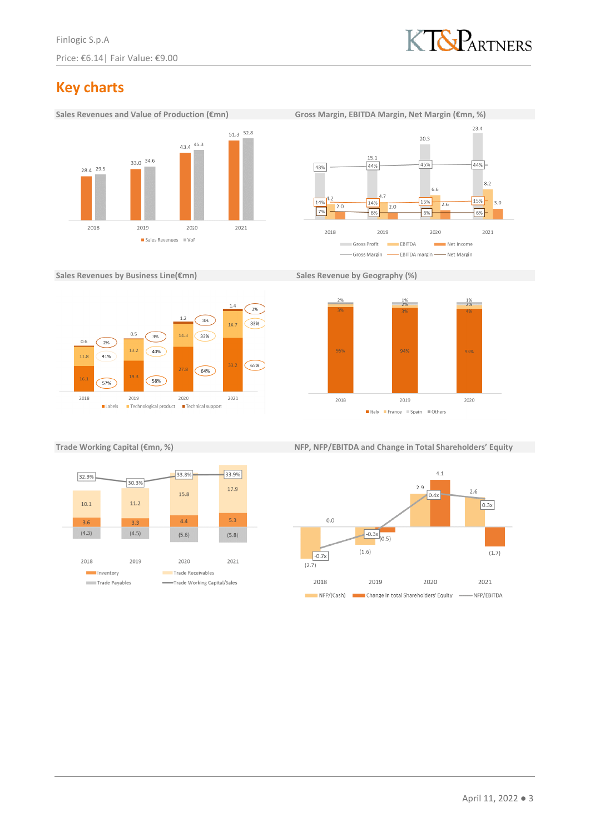

# **Key charts**



 $23.4$  $20.3$  $15.1$ 45%  $44%$ 43%  $44%$  $8.2$ 6.6 15%  $15%$ 14% 14%  $3.0$  $\overline{26}$  $2.0$  $7%$ 6% 6% 6% 2018 2019 2020  $2021$ Gross Profit  $\overline{\phantom{a}}$ EBITDA ÷ Net Income - Gross Margin - EBITDA margin - Net Margin

**Sales Revenues by Business Line(€mn) Sales Revenue by Geography (%)** 







**Trade Working Capital (€mn, %) NFP, NFP/EBITDA and Change in Total Shareholders' Equity**

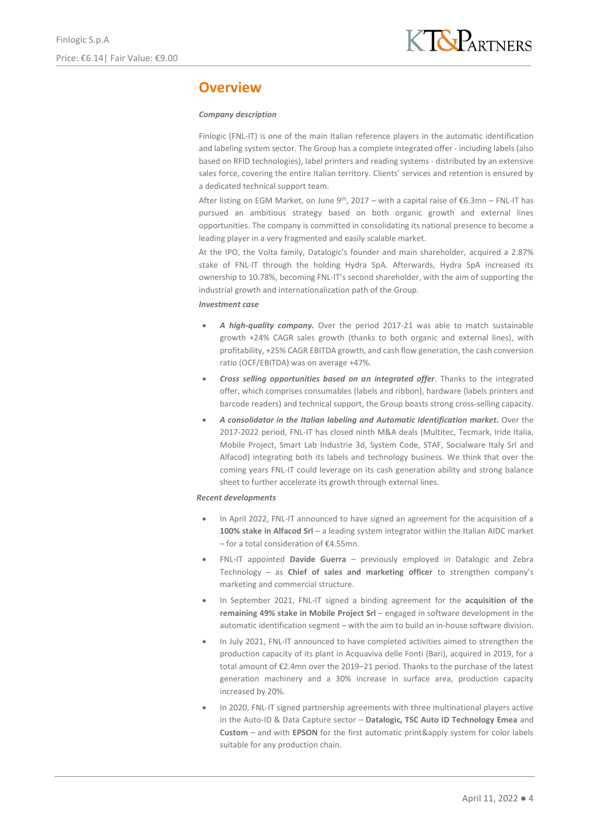### **Overview**

#### *Company description*

Finlogic (FNL-IT) is one of the main Italian reference players in the automatic identification and labeling system sector. The Group has a complete integrated offer - including labels (also based on RFID technologies), label printers and reading systems - distributed by an extensive sales force, covering the entire Italian territory. Clients' services and retention is ensured by a dedicated technical support team.

After listing on EGM Market, on June 9<sup>th</sup>, 2017 – with a capital raise of  $\epsilon$ 6.3mn – FNL-IT has pursued an ambitious strategy based on both organic growth and external lines opportunities. The company is committed in consolidating its national presence to become a leading player in a very fragmented and easily scalable market.

At the IPO, the Volta family, Datalogic's founder and main shareholder, acquired a 2.87% stake of FNL-IT through the holding Hydra SpA. Afterwards, Hydra SpA increased its ownership to 10.78%, becoming FNL-IT's second shareholder, with the aim of supporting the industrial growth and internationalization path of the Group.

#### *Investment case*

- *A high-quality company.* Over the period 2017-21 was able to match sustainable growth +24% CAGR sales growth (thanks to both organic and external lines), with profitability, +25% CAGR EBITDA growth, and cash flow generation, the cash conversion ratio (OCF/EBITDA) was on average +47%.
- *Cross selling opportunities based on an integrated offer*. Thanks to the integrated offer, which comprises consumables (labels and ribbon), hardware (labels printers and barcode readers) and technical support, the Group boasts strong cross-selling capacity.
- *A consolidator in the Italian labeling and Automatic Identification market.* Over the 2017-2022 period, FNL-IT has closed ninth M&A deals (Multitec, Tecmark, Iride Italia, Mobile Project, Smart Lab Industrie 3d, System Code, STAF, Socialware Italy Srl and Alfacod) integrating both its labels and technology business. We think that over the coming years FNL-IT could leverage on its cash generation ability and strong balance sheet to further accelerate its growth through external lines.

#### *Recent developments*

- In April 2022, FNL-IT announced to have signed an agreement for the acquisition of a **100% stake in Alfacod Srl** – a leading system integrator within the Italian AIDC market – for a total consideration of €4.55mn.
- FNL-IT appointed **Davide Guerra** previously employed in Datalogic and Zebra Technology – as **Chief of sales and marketing officer** to strengthen company's marketing and commercial structure.
- In September 2021, FNL-IT signed a binding agreement for the **acquisition of the remaining 49% stake in Mobile Project Srl** – engaged in software development in the automatic identification segment – with the aim to build an in-house software division.
- In July 2021, FNL-IT announced to have completed activities aimed to strengthen the production capacity of its plant in Acquaviva delle Fonti (Bari), acquired in 2019, for a total amount of €2.4mn over the 2019–21 period. Thanks to the purchase of the latest generation machinery and a 30% increase in surface area, production capacity increased by 20%.
- In 2020, FNL-IT signed partnership agreements with three multinational players active in the Auto-ID & Data Capture sector – **Datalogic, TSC Auto ID Technology Emea** and **Custom** – and with **EPSON** for the first automatic print&apply system for color labels suitable for any production chain.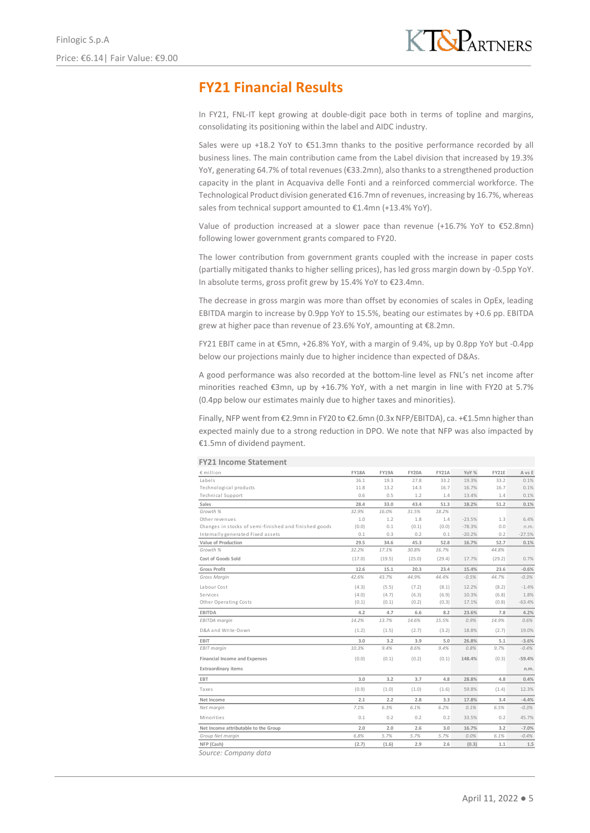# **FY21 Financial Results**

In FY21, FNL-IT kept growing at double-digit pace both in terms of topline and margins, consolidating its positioning within the label and AIDC industry.

Sales were up +18.2 YoY to €51.3mn thanks to the positive performance recorded by all business lines. The main contribution came from the Label division that increased by 19.3% YoY, generating 64.7% of total revenues (€33.2mn), also thanks to a strengthened production capacity in the plant in Acquaviva delle Fonti and a reinforced commercial workforce. The Technological Product division generated €16.7mn of revenues, increasing by 16.7%, whereas sales from technical support amounted to €1.4mn (+13.4% YoY).

Value of production increased at a slower pace than revenue (+16.7% YoY to €52.8mn) following lower government grants compared to FY20.

The lower contribution from government grants coupled with the increase in paper costs (partially mitigated thanks to higher selling prices), has led gross margin down by -0.5pp YoY. In absolute terms, gross profit grew by 15.4% YoY to €23.4mn.

The decrease in gross margin was more than offset by economies of scales in OpEx, leading EBITDA margin to increase by 0.9pp YoY to 15.5%, beating our estimates by +0.6 pp. EBITDA grew at higher pace than revenue of 23.6% YoY, amounting at €8.2mn.

FY21 EBIT came in at €5mn, +26.8% YoY, with a margin of 9.4%, up by 0.8pp YoY but -0.4pp below our projections mainly due to higher incidence than expected of D&As.

A good performance was also recorded at the bottom-line level as FNL's net income after minorities reached €3mn, up by +16.7% YoY, with a net margin in line with FY20 at 5.7% (0.4pp below our estimates mainly due to higher taxes and minorities).

Finally, NFP went from €2.9mn in FY20 to €2.6mn (0.3x NFP/EBITDA), ca. +€1.5mn higher than expected mainly due to a strong reduction in DPO. We note that NFP was also impacted by €1.5mn of dividend payment.

| € million                                             | <b>FY18A</b> | <b>FY19A</b> | FY20A  | <b>FY21A</b> | YoY %    | FY21E  | A vs E   |
|-------------------------------------------------------|--------------|--------------|--------|--------------|----------|--------|----------|
| Labels                                                | 16.1         | 19.3         | 27.8   | 33.2         | 19.3%    | 33.2   | 0.1%     |
| Technological products                                | 11.8         | 13.2         | 14.3   | 16.7         | 16.7%    | 16.7   | 0.1%     |
| <b>Technical Support</b>                              | 0.6          | 0.5          | 1.2    | 1.4          | 13.4%    | 1.4    | 0.1%     |
| Sales                                                 | 28.4         | 33.0         | 43.4   | 51.3         | 18.2%    | 51.2   | 0.1%     |
| Growth %                                              | 32.9%        | 16.0%        | 31.5%  | 18.2%        |          |        |          |
| Other revenues                                        | 1.0          | 1.2          | 1.8    | 1.4          | $-23.5%$ | 1.3    | 6.4%     |
| Changes in stocks of semi-finished and finished goods | (0.0)        | 0.1          | (0.1)  | (0.0)        | $-78.3%$ | 0.0    | n.m.     |
| Internally generated Fixed assets                     | 0.1          | 0.3          | 0.2    | 0.1          | $-20.2%$ | 0.2    | $-27.5%$ |
| Value of Production                                   | 29.5         | 34.6         | 45.3   | 52.8         | 16.7%    | 52.7   | 0.1%     |
| Growth %                                              | 32.2%        | 17.1%        | 30.8%  | 16.7%        |          | 44.8%  |          |
| Cost of Goods Sold                                    | (17.0)       | (19.5)       | (25.0) | (29.4)       | 17.7%    | (29.2) | 0.7%     |
| <b>Gross Profit</b>                                   | 12.6         | 15.1         | 20.3   | 23.4         | 15.4%    | 23.6   | $-0.6%$  |
| Gross Marain                                          | 42.6%        | 43.7%        | 44.9%  | 44.4%        | $-0.5%$  | 44.7%  | $-0.3%$  |
| Labour Cost                                           | (4.3)        | (5.5)        | (7.2)  | (8.1)        | 12.2%    | (8.2)  | $-1.4%$  |
| Services                                              | (4.0)        | (4.7)        | (6.3)  | (6.9)        | 10.3%    | (6.8)  | 1.8%     |
| Other Operating Costs                                 | (0.1)        | (0.1)        | (0.2)  | (0.3)        | 17.1%    | (0.8)  | $-63.4%$ |
| <b>EBITDA</b>                                         | 4.2          | 4.7          | 6.6    | 8.2          | 23.6%    | 7.8    | 4.2%     |
| EBITDA margin                                         | 14.2%        | 13.7%        | 14.6%  | 15.5%        | 0.9%     | 14.9%  | 0.6%     |
| D&A and Write-Down                                    | (1.2)        | (1.5)        | (2.7)  | (3.2)        | 18.8%    | (2.7)  | 19.0%    |
| EBIT                                                  | 3.0          | 3.2          | 3.9    | 5.0          | 26.8%    | 5.1    | $-3.6%$  |
| EBIT margin                                           | 10.3%        | 9.4%         | 8.6%   | 9.4%         | 0.8%     | 9.7%   | $-0.4%$  |
| Financial Income and Expenses                         | (0.0)        | (0.1)        | (0.2)  | (0.1)        | 148.4%   | (0.3)  | $-59.4%$ |
| <b>Extraordinary items</b>                            |              |              |        |              |          |        | n.m.     |
| EBT                                                   | 3.0          | 3.2          | 3.7    | 4.8          | 28.8%    | 4.8    | 0.4%     |
| Taxes                                                 | (0.9)        | (1.0)        | (1.0)  | (1.6)        | 59.8%    | (1.4)  | 12.3%    |
| Net Income                                            | 2.1          | 2.2          | 2.8    | 3.3          | 17.8%    | 3.4    | $-4.4%$  |
| Net margin                                            | 7.1%         | 6.3%         | 6.1%   | 6.2%         | 0.1%     | 6.5%   | $-0.3%$  |
| Minorities                                            | 0.1          | 0.2          | 0.2    | 0.2          | 33.5%    | 0.2    | 45.7%    |
| Net Income attributable to the Group                  | 2.0          | 2.0          | 2.6    | 3.0          | 16.7%    | 3.2    | $-7.0%$  |
| Group Net margin                                      | 6.8%         | 5.7%         | 5.7%   | 5.7%         | 0.0%     | 6.1%   | $-0.4%$  |
| NFP (Cash)                                            | (2.7)        | (1.6)        | 2.9    | 2.6          | (0.3)    | 1.1    | $1.5\,$  |

#### **FY21 Income Statement**

*Source: Company data*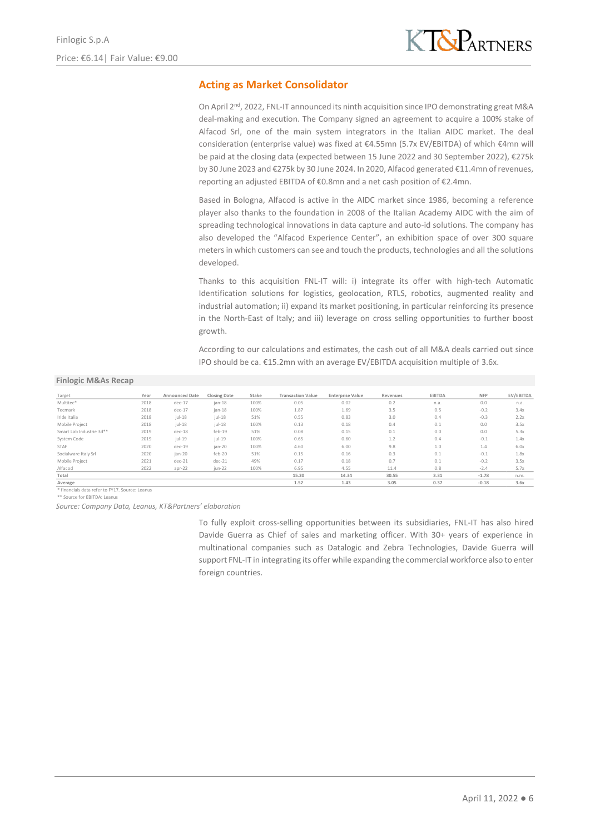### **Acting as Market Consolidator**

On April 2<sup>nd</sup>, 2022, FNL-IT announced its ninth acquisition since IPO demonstrating great M&A deal-making and execution. The Company signed an agreement to acquire a 100% stake of Alfacod Srl, one of the main system integrators in the Italian AIDC market. The deal consideration (enterprise value) was fixed at €4.55mn (5.7x EV/EBITDA) of which €4mn will be paid at the closing data (expected between 15 June 2022 and 30 September 2022), €275k by 30 June 2023 and €275k by 30 June 2024. In 2020, Alfacod generated €11.4mn of revenues, reporting an adjusted EBITDA of €0.8mn and a net cash position of €2.4mn.

Based in Bologna, Alfacod is active in the AIDC market since 1986, becoming a reference player also thanks to the foundation in 2008 of the Italian Academy AIDC with the aim of spreading technological innovations in data capture and auto-id solutions. The company has also developed the "Alfacod Experience Center", an exhibition space of over 300 square meters in which customers can see and touch the products, technologies and all the solutions developed.

Thanks to this acquisition FNL-IT will: i) integrate its offer with high-tech Automatic Identification solutions for logistics, geolocation, RTLS, robotics, augmented reality and industrial automation; ii) expand its market positioning, in particular reinforcing its presence in the North-East of Italy; and iii) leverage on cross selling opportunities to further boost growth.

According to our calculations and estimates, the cash out of all M&A deals carried out since IPO should be ca. €15.2mn with an average EV/EBITDA acquisition multiple of 3.6x.

#### **Finlogic M&As Recap**

| Target                   | Year | <b>Announced Date</b> | <b>Closing Date</b> | Stake | <b>Transaction Value</b> | <b>Enterprise Value</b> | Revenues | <b>EBITDA</b> | <b>NFP</b> | EV/EBITDA |
|--------------------------|------|-----------------------|---------------------|-------|--------------------------|-------------------------|----------|---------------|------------|-----------|
| Multitec*                | 2018 | $dec-17$              | $jan-18$            | 100%  | 0.05                     | 0.02                    | 0.2      | n.a.          | 0.0        | n.a.      |
| Tecmark                  | 2018 | $dec-17$              | $jan-18$            | 100%  | 1.87                     | 1.69                    | 3.5      | 0.5           | $-0.2$     | 3.4x      |
| Iride Italia             | 2018 | $ ul-18$              | $ ul-18$            | 51%   | 0.55                     | 0.83                    | 3.0      | 0.4           | $-0.3$     | 2.2x      |
| Mobile Project           | 2018 | $ ul-18$              | $ ul-18$            | 100%  | 0.13                     | 0.18                    | 0.4      | 0.1           | 0.0        | 3.5x      |
| Smart Lab Industrie 3d** | 2019 | $dec-18$              | $feb-19$            | 51%   | 0.08                     | 0.15                    | 0.1      | 0.0           | 0.0        | 5.3x      |
| System Code              | 2019 | $ ul-19 $             | $ ul-19 $           | 100%  | 0.65                     | 0.60                    | 1.2      | 0.4           | $-0.1$     | 1.4x      |
| STAF                     | 2020 | $dec-19$              | jan-20              | 100%  | 4.60                     | 6.00                    | 9.8      | 1.0           | 1.4        | 6.0x      |
| Socialware Italy Srl     | 2020 | jan-20                | feb-20              | 51%   | 0.15                     | 0.16                    | 0.3      | 0.1           | $-0.1$     | 1.8x      |
| Mobile Project           | 2021 | $dec-21$              | $dec-21$            | 49%   | 0.17                     | 0.18                    | 0.7      | 0.1           | $-0.2$     | 3.5x      |
| Alfacod                  | 2022 | apr-22                | jun-22              | 100%  | 6.95                     | 4.55                    | 11.4     | 0.8           | $-2.4$     | 5.7x      |
| Total                    |      |                       |                     |       | 15.20                    | 14.34                   | 30.55    | 3.31          | $-1.78$    | n.m.      |
| Average                  |      |                       |                     |       | 1.52                     | 1.43                    | 3.05     | 0.37          | $-0.18$    | 3.6x      |

\* financials data refer to FY17. Source: Leanus

\*\* Source for EBITDA: Leanus

*Source: Company Data, Leanus, KT&Partners' elaboration*

To fully exploit cross-selling opportunities between its subsidiaries, FNL-IT has also hired Davide Guerra as Chief of sales and marketing officer. With 30+ years of experience in multinational companies such as Datalogic and Zebra Technologies, Davide Guerra will support FNL-IT in integrating its offer while expanding the commercial workforce also to enter foreign countries.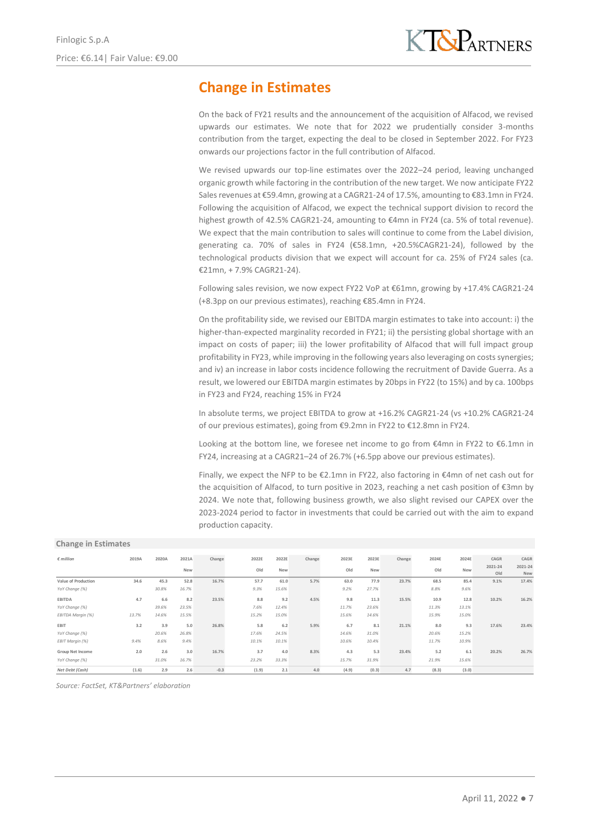# **Change in Estimates**

On the back of FY21 results and the announcement of the acquisition of Alfacod, we revised upwards our estimates. We note that for 2022 we prudentially consider 3-months contribution from the target, expecting the deal to be closed in September 2022. For FY23 onwards our projections factor in the full contribution of Alfacod.

We revised upwards our top-line estimates over the 2022–24 period, leaving unchanged organic growth while factoring in the contribution of the new target. We now anticipate FY22 Sales revenues at €59.4mn, growing at a CAGR21-24 of 17.5%, amounting to €83.1mn in FY24. Following the acquisition of Alfacod, we expect the technical support division to record the highest growth of 42.5% CAGR21-24, amounting to €4mn in FY24 (ca. 5% of total revenue). We expect that the main contribution to sales will continue to come from the Label division, generating ca. 70% of sales in FY24 (€58.1mn, +20.5%CAGR21-24), followed by the technological products division that we expect will account for ca. 25% of FY24 sales (ca. €21mn, + 7.9% CAGR21-24).

Following sales revision, we now expect FY22 VoP at €61mn, growing by +17.4% CAGR21-24 (+8.3pp on our previous estimates), reaching €85.4mn in FY24.

On the profitability side, we revised our EBITDA margin estimates to take into account: i) the higher-than-expected marginality recorded in FY21; ii) the persisting global shortage with an impact on costs of paper; iii) the lower profitability of Alfacod that will full impact group profitability in FY23, while improving in the following years also leveraging on costs synergies; and iv) an increase in labor costs incidence following the recruitment of Davide Guerra. As a result, we lowered our EBITDA margin estimates by 20bps in FY22 (to 15%) and by ca. 100bps in FY23 and FY24, reaching 15% in FY24

In absolute terms, we project EBITDA to grow at +16.2% CAGR21-24 (vs +10.2% CAGR21-24 of our previous estimates), going from €9.2mn in FY22 to €12.8mn in FY24.

Looking at the bottom line, we foresee net income to go from  $€4$ mn in FY22 to  $€6.1$ mn in FY24, increasing at a CAGR21–24 of 26.7% (+6.5pp above our previous estimates).

Finally, we expect the NFP to be €2.1mn in FY22, also factoring in €4mn of net cash out for the acquisition of Alfacod, to turn positive in 2023, reaching a net cash position of €3mn by 2024. We note that, following business growth, we also slight revised our CAPEX over the 2023-2024 period to factor in investments that could be carried out with the aim to expand production capacity.

#### **Change in Estimates**

| $\epsilon$ million  | 2019A | 2020A | 2021A      | Change                                              | 2022E                                  | 2022E | Change | 2023E                                                     | 2023E | Change | 2024E | 2024E | CAGR           | CAGR                  |
|---------------------|-------|-------|------------|-----------------------------------------------------|----------------------------------------|-------|--------|-----------------------------------------------------------|-------|--------|-------|-------|----------------|-----------------------|
|                     |       |       | <b>New</b> |                                                     | Old                                    | New   |        | Old                                                       | New   |        | Old   | New   | 2021-24<br>Old | 2021-24<br><b>New</b> |
| Value of Production | 34.6  | 45.3  | 52.8       | 16.7%                                               | 57.7                                   | 61.0  | 5.7%   | 63.0                                                      | 77.9  | 23.7%  | 68.5  | 85.4  | 9.1%           | 17.4%                 |
| YoY Change (%)      |       | 30.8% | 16.7%      |                                                     | 9.3%                                   | 15.6% |        | 9.2%                                                      | 27.7% |        | 8.8%  | 9.6%  |                |                       |
| <b>EBITDA</b>       | 4.7   | 6.6   | 8.2        | 23.5%                                               | 8.8                                    | 9.2   | 4.5%   | 9.8                                                       | 11.3  | 15.5%  | 10.9  | 12.8  | 10.2%          | 16.2%                 |
| YoY Change (%)      |       | 39.6% | 23.5%      |                                                     | 7.6%                                   | 12.4% |        | 11.7%                                                     | 23.6% |        | 11.3% | 13.1% |                |                       |
| EBITDA Margin (%)   | 13.7% | 14.6% | 15.5%      |                                                     | 15.2%                                  | 15.0% |        | 15.6%                                                     | 14.6% |        | 15.9% | 15.0% |                |                       |
| EBIT                | 3.2   | 3.9   | 5.0        | 26.8%                                               | 5.8                                    | 6.2   | 5.9%   | 6.7                                                       | 8.1   | 21.1%  | 8.0   | 9.3   | 17.6%          | 23.4%                 |
| YoY Change (%)      |       | 20.6% | 26.8%      |                                                     | 17.6%                                  | 24.5% |        | 14.6%                                                     | 31.0% |        | 20.6% | 15.2% |                |                       |
| EBIT Margin (%)     | 9.4%  | 8.6%  | 9.4%       |                                                     | 10.1%                                  | 10.1% |        | 10.6%                                                     | 10.4% |        | 11.7% | 10.9% |                |                       |
| Group Net Income    | 2.0   | 2.6   | 3.0        | 16.7%                                               | 3.7                                    | 4.0   | 8.3%   | 4.3                                                       | 5.3   | 23.4%  | 5.2   | 6.1   | 20.2%          | 26.7%                 |
| YoY Change (%)      |       | 31.0% | 16.7%      |                                                     | 23.2%                                  | 33.3% |        | 15.7%                                                     | 31.9% |        | 21.9% | 15.6% |                |                       |
| Net Debt (Cash)     | (1.6) | 2.9   | 2.6        | and an announcement of the control of the<br>$-0.3$ | ,,,,,,,,,,,,,,,,,,,,,,,,,,,,,<br>(1.9) | 2.1   | 4.0    | ,,,,,,,,,,,,,,,,,,,,,,,,<br>,,,,,,,,,,,,,,,,,,,,<br>(4.9) | (0.3) | 4.7    | (8.3) | (3.0) |                |                       |

*Source: FactSet, KT&Partners' elaboration*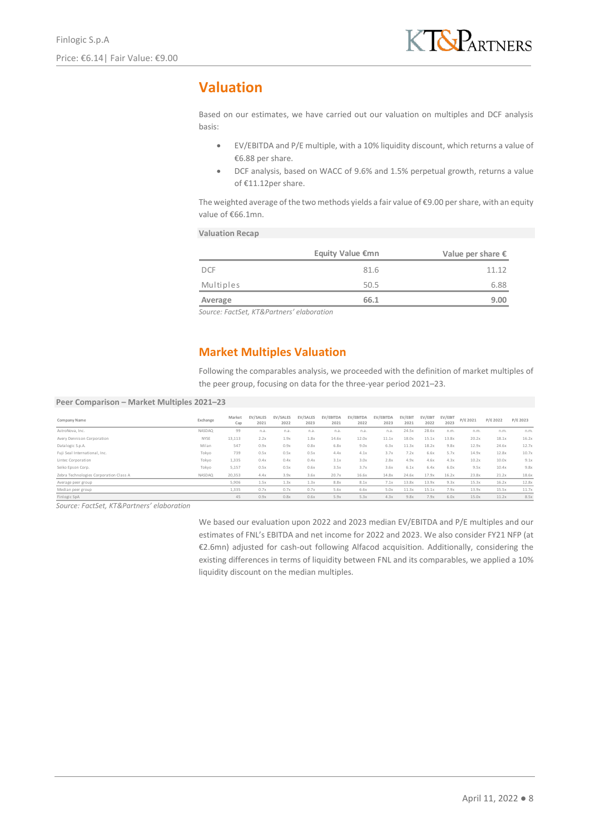# **Valuation**

Based on our estimates, we have carried out our valuation on multiples and DCF analysis basis:

- EV/EBITDA and P/E multiple, with a 10% liquidity discount, which returns a value of €6.88 per share.
- DCF analysis, based on WACC of 9.6% and 1.5% perpetual growth, returns a value of €11.12per share.

The weighted average of the two methods yields a fair value of  $\epsilon$ 9.00 per share, with an equity value of €66.1mn.

#### **Valuation Recap**

|                 |                                   |                  |                  |                  |                   | <b>Equity Value €mn</b>                                                                                                                                      |                   |                 |                 |                 |          | Value per share $\epsilon$ |   |
|-----------------|-----------------------------------|------------------|------------------|------------------|-------------------|--------------------------------------------------------------------------------------------------------------------------------------------------------------|-------------------|-----------------|-----------------|-----------------|----------|----------------------------|---|
| <b>DCF</b>      |                                   |                  |                  |                  |                   |                                                                                                                                                              | 81.6              |                 |                 |                 |          | 11.12                      |   |
| Multiples       |                                   |                  |                  |                  |                   |                                                                                                                                                              | 50.5              |                 |                 |                 |          | 6.88                       |   |
| Average         |                                   |                  |                  |                  |                   |                                                                                                                                                              | 66.1              |                 |                 |                 |          | 9.00                       |   |
|                 | <b>Market Multiples Valuation</b> |                  |                  |                  |                   |                                                                                                                                                              |                   |                 |                 |                 |          |                            |   |
|                 |                                   |                  |                  |                  |                   | Following the comparables analysis, we proceeded with the definition of market multip<br>the peer group, focusing on data for the three-year period 2021–23. |                   |                 |                 |                 |          |                            |   |
| 021-23          |                                   |                  |                  |                  |                   |                                                                                                                                                              |                   |                 |                 |                 |          |                            |   |
| <b>Exchange</b> | Market<br>Cap                     | EV/SALES<br>2021 | EV/SALES<br>2022 | EV/SALES<br>2023 | EV/EBITDA<br>2021 | EV/EBITDA<br>2022                                                                                                                                            | EV/EBITDA<br>2023 | EV/EBIT<br>2021 | EV/EBIT<br>2022 | EV/EBIT<br>2023 | P/E 2021 | P/E 2022                   | F |

### **Market Multiples Valuation**

Following the comparables analysis, we proceeded with the definition of market multiples of the peer group, focusing on data for the three-year period 2021–23.

#### **Peer Comparison – Market Multiples 2021–23**

| Company Name                           | Exchange      | Market<br>Cap | EV/SALES<br>2021 | EV/SALES<br>2022 | EV/SALES<br>2023 | EV/EBITDA<br>2021 | EV/EBITDA<br>2022 | EV/EBITDA<br>2023 | EV/EBIT<br>2021 | EV/EBIT<br>2022 | EV/EBIT<br>2023 | P/E 2021 | P/E 2022 | P/E 2023 |
|----------------------------------------|---------------|---------------|------------------|------------------|------------------|-------------------|-------------------|-------------------|-----------------|-----------------|-----------------|----------|----------|----------|
| AstroNova, Inc.                        | NASDAO        | 99            | n.a.             | n.a.             | n.a.             | n.a.              | n.a.              | n.a.              | 24.5x           | 28.6x           | n.m.            | n.m.     | n.m.     | n.m.     |
| Avery Dennison Corporation             | NYSE          | 13,113        | 2.2x             | 1.9x             | 1.8x             | 14.6x             | 12.0x             | 11.1x             | 18.0x           | 15.1x           | 13.8x           | 20.2x    | 18.1x    | 16.2x    |
| Datalogic S.p.A.                       | Milan         | 547           | 0.9x             | 0.9x             | 0.8x             | 6.8x              | 9.0x              | 6.3x              | 11.3x           | 18.2x           | 9.8x            | 12.9x    | 24.6x    | 12.7x    |
| Fuii Seal International, Inc.          | Tokyo         | 739           | 0.5x             | 0.5x             | 0.5x             | 4.4x              | 4.1x              | 3.7x              | 7.2x            | 6.6x            | 5.7x            | 14.9x    | 12.8x    | 10.7x    |
| Lintec Corporation                     | Tokyo         | 1,335         | 0.4x             | 0.4x             | 0.4x             | 3.1x              | 3.0x              | 2.8x              | 4.9x            | 4.6x            | 4.3x            | 10.2x    | 10.0x    | 9.1x     |
| Seiko Epson Corp.                      | Tokyo         | 5,157         | 0.5x             | 0.5x             | 0.6x             | 3.5x              | 3.7x              | 3.6x              | 6.1x            | 6.4x            | 6.0x            | 9.5x     | 10.4x    | 9.8x     |
| Zebra Technologies Corporation Class A | <b>NASDAQ</b> | 20,353        | 4.4x             | 3.9x             | 3.6x             | 20.7x             | 16.6x             | 14.8x             | 24.6x           | 17.9x           | 16.2x           | 23.8x    | 21.2x    | 18.6x    |
| Average peer group                     |               | 5,906         | 1.5x             | 1.3x             | 1.3x             | 8.8x              | 8.1x              | 7.1x              | 13.8x           | 13.9x           | 9.3x            | 15.3x    | 16.2x    | 12.8x    |
| Median peer group                      |               | 1.335         | 0.7x             | 0.7x             | 0.7x             | 5.6x              | 6.6x              | 5.0x              | 11.3x           | 15.1x           | 7.9x            | 13.9x    | 15.5x    | 11.7x    |
| Finlogic SpA                           |               | 45            | 0.9x             | 0.8x             | 0.6x             | 5.9x              | 5.3x              | 4.3x              | 9.8x            | 7.9x            | 6.0x            | 15.0x    | 11.2x    | 8.5x     |

*Source: FactSet, KT&Partners' elaboration*

We based our evaluation upon 2022 and 2023 median EV/EBITDA and P/E multiples and our estimates of FNL's EBITDA and net income for 2022 and 2023. We also consider FY21 NFP (at €2.6mn) adjusted for cash-out following Alfacod acquisition. Additionally, considering the existing differences in terms of liquidity between FNL and its comparables, we applied a 10% liquidity discount on the median multiples.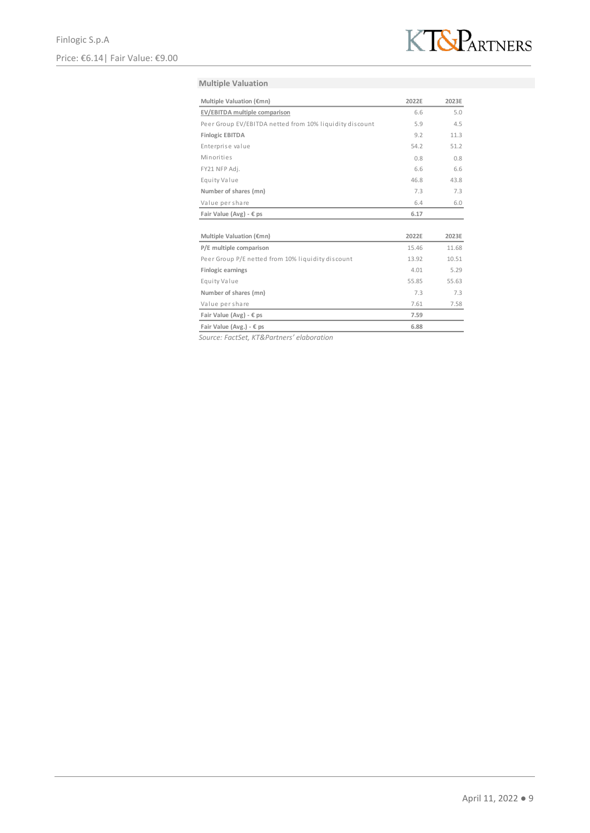

#### **Multiple Valuation**

| Multiple Valuation (€mn)                                | 2022E | 2023E |
|---------------------------------------------------------|-------|-------|
| EV/EBITDA multiple comparison                           | 6.6   | 5.0   |
| Peer Group EV/EBITDA netted from 10% liquidity discount | 5.9   | 4.5   |
| <b>Finlogic EBITDA</b>                                  | 9.2   | 11.3  |
| Enterprise value                                        | 54.2  | 51.2  |
| Minorities                                              | 0.8   | 0.8   |
| FY21 NFP Adj.                                           | 6.6   | 6.6   |
| Equity Value                                            | 46.8  | 43.8  |
| Number of shares (mn)                                   | 7.3   | 7.3   |
| Value per share                                         | 6.4   | 6.0   |
| Fair Value (Avg) - $\epsilon$ ps                        | 6.17  |       |
|                                                         |       |       |
| Multiple Valuation (€mn)                                | 2022E | 2023E |
| P/E multiple comparison                                 | 15.46 | 11.68 |
| Peer Group P/E netted from 10% liquidity discount       | 13.92 | 10.51 |
| <b>Finlogic earnings</b>                                | 4.01  | 5.29  |
| Equity Value                                            | 55.85 | 55.63 |
| Number of shares (mn)                                   | 7.3   | 7.3   |
| Value per share                                         | 7.61  | 7.58  |
| Fair Value (Avg) - $\epsilon$ ps                        | 7.59  |       |
| Fair Value (Avg.) - € ps                                | 6.88  |       |

*Source: FactSet, KT&Partners' elaboration*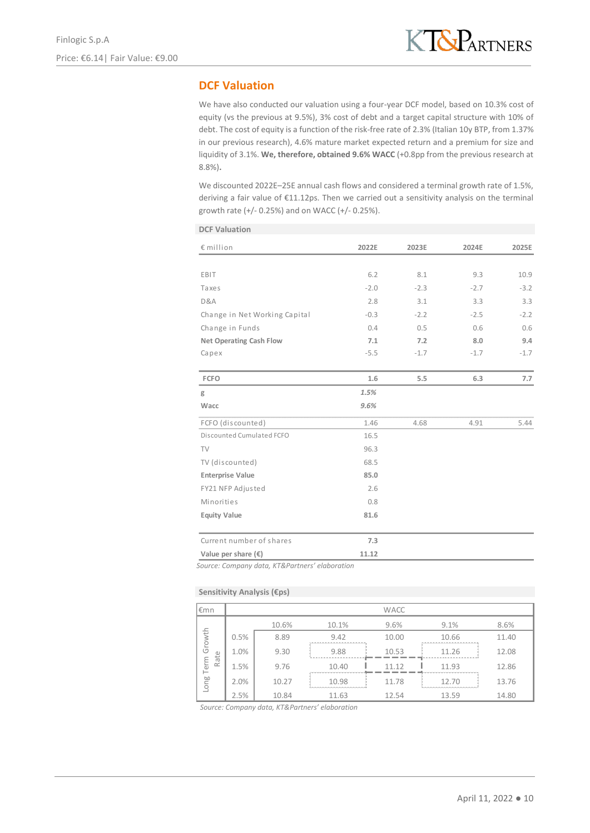### **DCF Valuation**

We have also conducted our valuation using a four-year DCF model, based on 10.3% cost of equity (vs the previous at 9.5%), 3% cost of debt and a target capital structure with 10% of debt. The cost of equity is a function of the risk-free rate of 2.3% (Italian 10y BTP, from 1.37% in our previous research), 4.6% mature market expected return and a premium for size and liquidity of 3.1%. **We, therefore, obtained 9.6% WACC** (+0.8pp from the previous research at 8.8%)**.**

We discounted 2022E-25E annual cash flows and considered a terminal growth rate of 1.5%, deriving a fair value of €11.12ps. Then we carried out a sensitivity analysis on the terminal growth rate (+/- 0.25%) and on WACC (+/- 0.25%).

| <b>DCF Valuation</b>           |        |        |        |        |
|--------------------------------|--------|--------|--------|--------|
| € million                      | 2022E  | 2023E  | 2024E  | 2025E  |
|                                |        |        |        |        |
| EBIT                           | 6.2    | 8.1    | 9.3    | 10.9   |
| Taxes                          | $-2.0$ | $-2.3$ | $-2.7$ | $-3.2$ |
| D&A                            | 2.8    | 3.1    | 3.3    | 3.3    |
| Change in Net Working Capital  | $-0.3$ | $-2.2$ | $-2.5$ | $-2.2$ |
| Change in Funds                | 0.4    | 0.5    | 0.6    | 0.6    |
| <b>Net Operating Cash Flow</b> | 7.1    | 7.2    | 8.0    | 9.4    |
| Capex                          | $-5.5$ | $-1.7$ | $-1.7$ | $-1.7$ |
|                                |        |        |        |        |
| <b>FCFO</b>                    | 1.6    | 5.5    | 6.3    | 7.7    |
| g                              | 1.5%   |        |        |        |
| Wacc                           | 9.6%   |        |        |        |
| FCFO (discounted)              | 1.46   | 4.68   | 4.91   | 5.44   |
| Discounted Cumulated FCFO      | 16.5   |        |        |        |
| TV                             | 96.3   |        |        |        |
| TV (discounted)                | 68.5   |        |        |        |
| <b>Enterprise Value</b>        | 85.0   |        |        |        |
| FY21 NFP Adjusted              | 2.6    |        |        |        |
| Minorities                     | 0.8    |        |        |        |
| <b>Equity Value</b>            | 81.6   |        |        |        |
| Current number of shares       | 7.3    |        |        |        |
| Value per share $(\epsilon)$   | 11.12  |        |        |        |
|                                |        |        |        |        |

*Source: Company data, KT&Partners' elaboration*

#### **Sensitivity Analysis (€ps)**

| l€mn         |      |       |                             | <b>WACC</b> |                                                         |       |
|--------------|------|-------|-----------------------------|-------------|---------------------------------------------------------|-------|
|              |      | 10.6% | 10.1%                       | 9.6%        | 9.1%                                                    | 8.6%  |
| Growth       | 0.5% | 8.89  | 9.42<br>------------------- | 10.00       | 10.66<br><b><i><u> WANNAMARA WANNAMARA WASA</u></i></b> | 11.40 |
|              | 1.0% | 9.30  | 9.88                        | 10.53       | 11.26                                                   | 12.08 |
| Rate<br>Term | 1.5% | 9.76  | 10.40                       | 11 12       | 11.93                                                   | 12.86 |
| Long         | 2.0% | 10.27 | 10.98                       | 11.78       | 12.70                                                   | 13.76 |
|              | 2.5% | 10.84 | 11.63                       | 12.54       | 13.59                                                   | 14.80 |

*Source: Company data, KT&Partners' elaboration*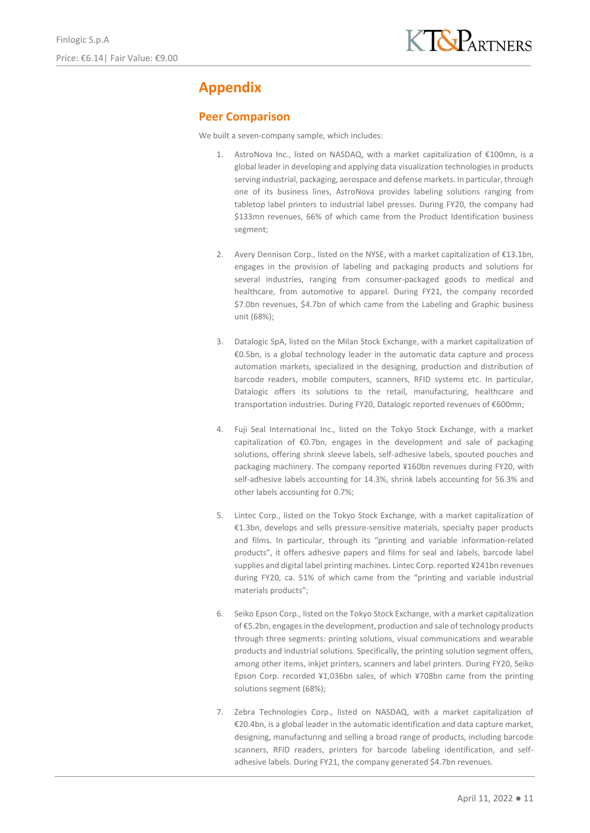# **Appendix**

### **Peer Comparison**

We built a seven-company sample, which includes:

- 1. AstroNova Inc., listed on NASDAQ, with a market capitalization of €100mn, is a global leader in developing and applying data visualization technologies in products serving industrial, packaging, aerospace and defense markets. In particular, through one of its business lines, AstroNova provides labeling solutions ranging from tabletop label printers to industrial label presses. During FY20, the company had \$133mn revenues, 66% of which came from the Product Identification business segment;
- 2. Avery Dennison Corp., listed on the NYSE, with a market capitalization of €13.1bn, engages in the provision of labeling and packaging products and solutions for several industries, ranging from consumer-packaged goods to medical and healthcare, from automotive to apparel. During FY21, the company recorded \$7.0bn revenues, \$4.7bn of which came from the Labeling and Graphic business unit (68%);
- 3. Datalogic SpA, listed on the Milan Stock Exchange, with a market capitalization of €0.5bn, is a global technology leader in the automatic data capture and process automation markets, specialized in the designing, production and distribution of barcode readers, mobile computers, scanners, RFID systems etc. In particular, Datalogic offers its solutions to the retail, manufacturing, healthcare and transportation industries. During FY20, Datalogic reported revenues of €600mn;
- 4. Fuji Seal International Inc., listed on the Tokyo Stock Exchange, with a market capitalization of €0.7bn, engages in the development and sale of packaging solutions, offering shrink sleeve labels, self-adhesive labels, spouted pouches and packaging machinery. The company reported ¥160bn revenues during FY20, with self-adhesive labels accounting for 14.3%, shrink labels accounting for 56.3% and other labels accounting for 0.7%;
- 5. Lintec Corp., listed on the Tokyo Stock Exchange, with a market capitalization of €1.3bn, develops and sells pressure-sensitive materials, specialty paper products and films. In particular, through its "printing and variable information-related products", it offers adhesive papers and films for seal and labels, barcode label supplies and digital label printing machines. Lintec Corp. reported ¥241bn revenues during FY20, ca. 51% of which came from the "printing and variable industrial materials products";
- 6. Seiko Epson Corp., listed on the Tokyo Stock Exchange, with a market capitalization of €5.2bn, engages in the development, production and sale of technology products through three segments: printing solutions, visual communications and wearable products and industrial solutions. Specifically, the printing solution segment offers, among other items, inkjet printers, scanners and label printers. During FY20, Seiko Epson Corp. recorded ¥1,036bn sales, of which ¥708bn came from the printing solutions segment (68%);
- 7. Zebra Technologies Corp., listed on NASDAQ, with a market capitalization of €20.4bn, is a global leader in the automatic identification and data capture market, designing, manufacturing and selling a broad range of products, including barcode scanners, RFID readers, printers for barcode labeling identification, and selfadhesive labels. During FY21, the company generated \$4.7bn revenues.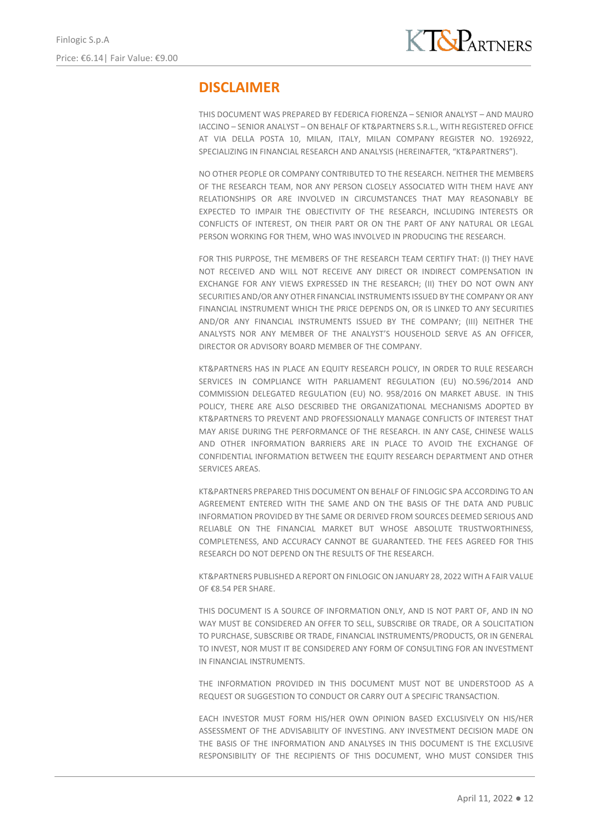# **DISCLAIMER**

THIS DOCUMENT WAS PREPARED BY FEDERICA FIORENZA – SENIOR ANALYST – AND MAURO IACCINO – SENIOR ANALYST – ON BEHALF OF KT&PARTNERS S.R.L., WITH REGISTERED OFFICE AT VIA DELLA POSTA 10, MILAN, ITALY, MILAN COMPANY REGISTER NO. 1926922, SPECIALIZING IN FINANCIAL RESEARCH AND ANALYSIS (HEREINAFTER, "KT&PARTNERS").

NO OTHER PEOPLE OR COMPANY CONTRIBUTED TO THE RESEARCH. NEITHER THE MEMBERS OF THE RESEARCH TEAM, NOR ANY PERSON CLOSELY ASSOCIATED WITH THEM HAVE ANY RELATIONSHIPS OR ARE INVOLVED IN CIRCUMSTANCES THAT MAY REASONABLY BE EXPECTED TO IMPAIR THE OBJECTIVITY OF THE RESEARCH, INCLUDING INTERESTS OR CONFLICTS OF INTEREST, ON THEIR PART OR ON THE PART OF ANY NATURAL OR LEGAL PERSON WORKING FOR THEM, WHO WAS INVOLVED IN PRODUCING THE RESEARCH.

FOR THIS PURPOSE, THE MEMBERS OF THE RESEARCH TEAM CERTIFY THAT: (I) THEY HAVE NOT RECEIVED AND WILL NOT RECEIVE ANY DIRECT OR INDIRECT COMPENSATION IN EXCHANGE FOR ANY VIEWS EXPRESSED IN THE RESEARCH; (II) THEY DO NOT OWN ANY SECURITIES AND/OR ANY OTHER FINANCIAL INSTRUMENTS ISSUED BY THE COMPANY OR ANY FINANCIAL INSTRUMENT WHICH THE PRICE DEPENDS ON, OR IS LINKED TO ANY SECURITIES AND/OR ANY FINANCIAL INSTRUMENTS ISSUED BY THE COMPANY; (III) NEITHER THE ANALYSTS NOR ANY MEMBER OF THE ANALYST'S HOUSEHOLD SERVE AS AN OFFICER, DIRECTOR OR ADVISORY BOARD MEMBER OF THE COMPANY.

KT&PARTNERS HAS IN PLACE AN EQUITY RESEARCH POLICY, IN ORDER TO RULE RESEARCH SERVICES IN COMPLIANCE WITH PARLIAMENT REGULATION (EU) NO.596/2014 AND COMMISSION DELEGATED REGULATION (EU) NO. 958/2016 ON MARKET ABUSE. IN THIS POLICY, THERE ARE ALSO DESCRIBED THE ORGANIZATIONAL MECHANISMS ADOPTED BY KT&PARTNERS TO PREVENT AND PROFESSIONALLY MANAGE CONFLICTS OF INTEREST THAT MAY ARISE DURING THE PERFORMANCE OF THE RESEARCH. IN ANY CASE, CHINESE WALLS AND OTHER INFORMATION BARRIERS ARE IN PLACE TO AVOID THE EXCHANGE OF CONFIDENTIAL INFORMATION BETWEEN THE EQUITY RESEARCH DEPARTMENT AND OTHER SERVICES AREAS.

KT&PARTNERS PREPARED THIS DOCUMENT ON BEHALF OF FINLOGIC SPA ACCORDING TO AN AGREEMENT ENTERED WITH THE SAME AND ON THE BASIS OF THE DATA AND PUBLIC INFORMATION PROVIDED BY THE SAME OR DERIVED FROM SOURCES DEEMED SERIOUS AND RELIABLE ON THE FINANCIAL MARKET BUT WHOSE ABSOLUTE TRUSTWORTHINESS, COMPLETENESS, AND ACCURACY CANNOT BE GUARANTEED. THE FEES AGREED FOR THIS RESEARCH DO NOT DEPEND ON THE RESULTS OF THE RESEARCH.

KT&PARTNERS PUBLISHED A REPORT ON FINLOGIC ON JANUARY 28, 2022 WITH A FAIR VALUE OF €8.54 PER SHARE.

THIS DOCUMENT IS A SOURCE OF INFORMATION ONLY, AND IS NOT PART OF, AND IN NO WAY MUST BE CONSIDERED AN OFFER TO SELL, SUBSCRIBE OR TRADE, OR A SOLICITATION TO PURCHASE, SUBSCRIBE OR TRADE, FINANCIAL INSTRUMENTS/PRODUCTS, OR IN GENERAL TO INVEST, NOR MUST IT BE CONSIDERED ANY FORM OF CONSULTING FOR AN INVESTMENT IN FINANCIAL INSTRUMENTS.

THE INFORMATION PROVIDED IN THIS DOCUMENT MUST NOT BE UNDERSTOOD AS A REQUEST OR SUGGESTION TO CONDUCT OR CARRY OUT A SPECIFIC TRANSACTION.

EACH INVESTOR MUST FORM HIS/HER OWN OPINION BASED EXCLUSIVELY ON HIS/HER ASSESSMENT OF THE ADVISABILITY OF INVESTING. ANY INVESTMENT DECISION MADE ON THE BASIS OF THE INFORMATION AND ANALYSES IN THIS DOCUMENT IS THE EXCLUSIVE RESPONSIBILITY OF THE RECIPIENTS OF THIS DOCUMENT, WHO MUST CONSIDER THIS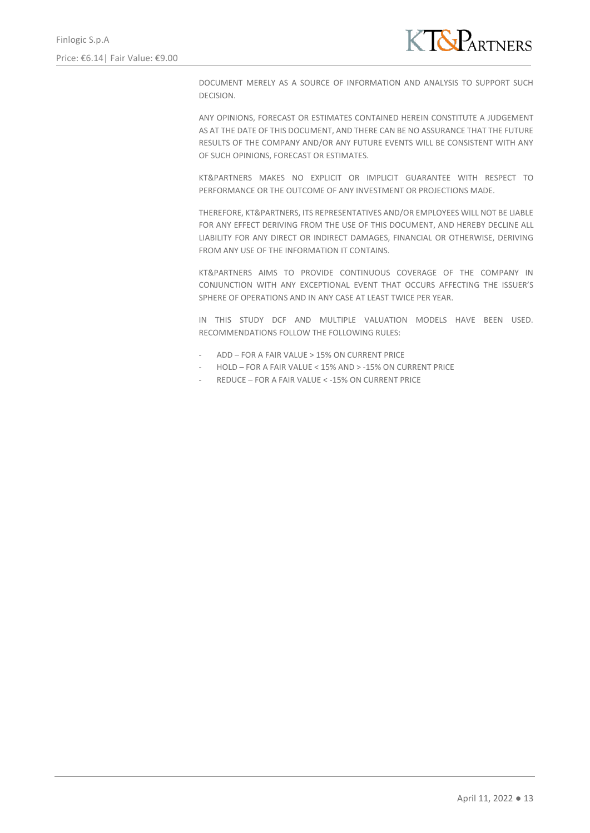

DOCUMENT MERELY AS A SOURCE OF INFORMATION AND ANALYSIS TO SUPPORT SUCH DECISION.

ANY OPINIONS, FORECAST OR ESTIMATES CONTAINED HEREIN CONSTITUTE A JUDGEMENT AS AT THE DATE OF THIS DOCUMENT, AND THERE CAN BE NO ASSURANCE THAT THE FUTURE RESULTS OF THE COMPANY AND/OR ANY FUTURE EVENTS WILL BE CONSISTENT WITH ANY OF SUCH OPINIONS, FORECAST OR ESTIMATES.

KT&PARTNERS MAKES NO EXPLICIT OR IMPLICIT GUARANTEE WITH RESPECT TO PERFORMANCE OR THE OUTCOME OF ANY INVESTMENT OR PROJECTIONS MADE.

THEREFORE, KT&PARTNERS, ITS REPRESENTATIVES AND/OR EMPLOYEES WILL NOT BE LIABLE FOR ANY EFFECT DERIVING FROM THE USE OF THIS DOCUMENT, AND HEREBY DECLINE ALL LIABILITY FOR ANY DIRECT OR INDIRECT DAMAGES, FINANCIAL OR OTHERWISE, DERIVING FROM ANY USE OF THE INFORMATION IT CONTAINS.

KT&PARTNERS AIMS TO PROVIDE CONTINUOUS COVERAGE OF THE COMPANY IN CONJUNCTION WITH ANY EXCEPTIONAL EVENT THAT OCCURS AFFECTING THE ISSUER'S SPHERE OF OPERATIONS AND IN ANY CASE AT LEAST TWICE PER YEAR.

IN THIS STUDY DCF AND MULTIPLE VALUATION MODELS HAVE BEEN USED. RECOMMENDATIONS FOLLOW THE FOLLOWING RULES:

- ADD FOR A FAIR VALUE > 15% ON CURRENT PRICE
- HOLD FOR A FAIR VALUE < 15% AND > -15% ON CURRENT PRICE
- REDUCE FOR A FAIR VALUE < 15% ON CURRENT PRICE